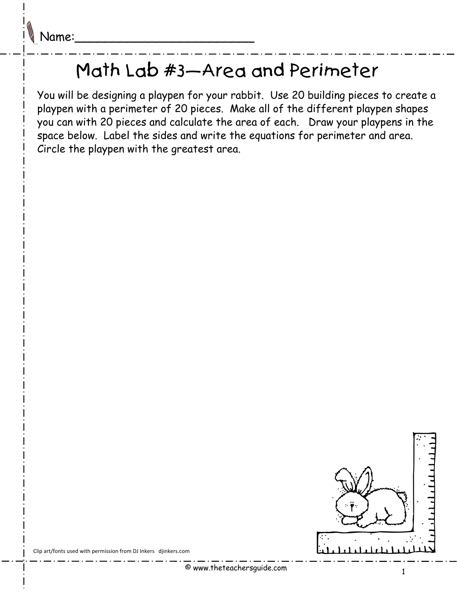## Math Lab #3—Area and Perimeter

You will be designing a playpen for your rabbit. Use 20 building pieces to create a playpen with a perimeter of 20 pieces. Make all of the different playpen shapes you can with 20 pieces and calculate the area of each. Draw your playpens in the space below. Label the sides and write the equations for perimeter and area. Circle the playpen with the greatest area.



Clip art/fonts used with permission from DJ Inkers djinkers.com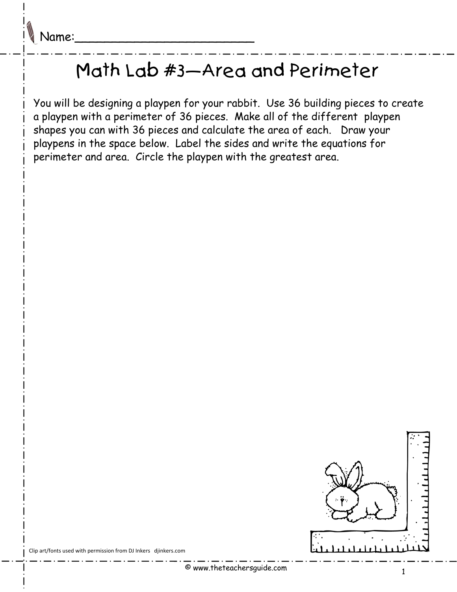## Math Lab #3—Area and Perimeter

You will be designing a playpen for your rabbit. Use 36 building pieces to create a playpen with a perimeter of 36 pieces. Make all of the different playpen shapes you can with 36 pieces and calculate the area of each. Draw your playpens in the space below. Label the sides and write the equations for perimeter and area. Circle the playpen with the greatest area.



Clip art/fonts used with permission from DJ Inkers djinkers.com